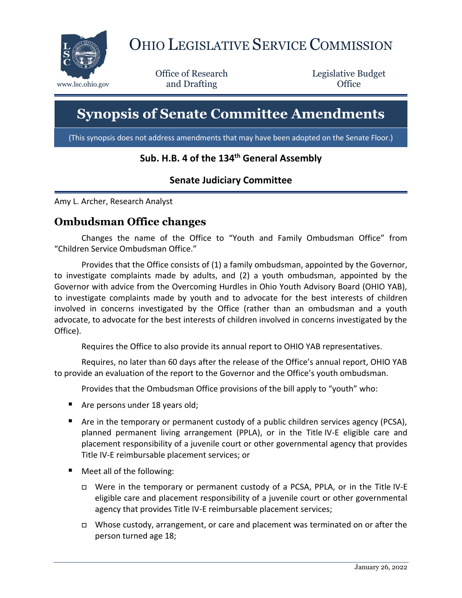

# OHIO LEGISLATIVE SERVICE COMMISSION

Office of Research www.lsc.ohio.gov **and Drafting Office** 

Legislative Budget

# **Synopsis of Senate Committee Amendments**

(This synopsis does not address amendments that may have been adopted on the Senate Floor.)

#### **Sub. H.B. 4 of the 134th General Assembly**

### **Senate Judiciary Committee**

Amy L. Archer, Research Analyst

#### **Ombudsman Office changes**

Changes the name of the Office to "Youth and Family Ombudsman Office" from "Children Service Ombudsman Office."

Provides that the Office consists of (1) a family ombudsman, appointed by the Governor, to investigate complaints made by adults, and (2) a youth ombudsman, appointed by the Governor with advice from the Overcoming Hurdles in Ohio Youth Advisory Board (OHIO YAB), to investigate complaints made by youth and to advocate for the best interests of children involved in concerns investigated by the Office (rather than an ombudsman and a youth advocate, to advocate for the best interests of children involved in concerns investigated by the Office).

Requires the Office to also provide its annual report to OHIO YAB representatives.

Requires, no later than 60 days after the release of the Office's annual report, OHIO YAB to provide an evaluation of the report to the Governor and the Office's youth ombudsman.

Provides that the Ombudsman Office provisions of the bill apply to "youth" who:

- Are persons under 18 years old;
- Are in the temporary or permanent custody of a public children services agency (PCSA), planned permanent living arrangement (PPLA), or in the Title IV-E eligible care and placement responsibility of a juvenile court or other governmental agency that provides Title IV-E reimbursable placement services; or
- Meet all of the following:
	- Were in the temporary or permanent custody of a PCSA, PPLA, or in the Title IV-E eligible care and placement responsibility of a juvenile court or other governmental agency that provides Title IV-E reimbursable placement services;
	- □ Whose custody, arrangement, or care and placement was terminated on or after the person turned age 18;